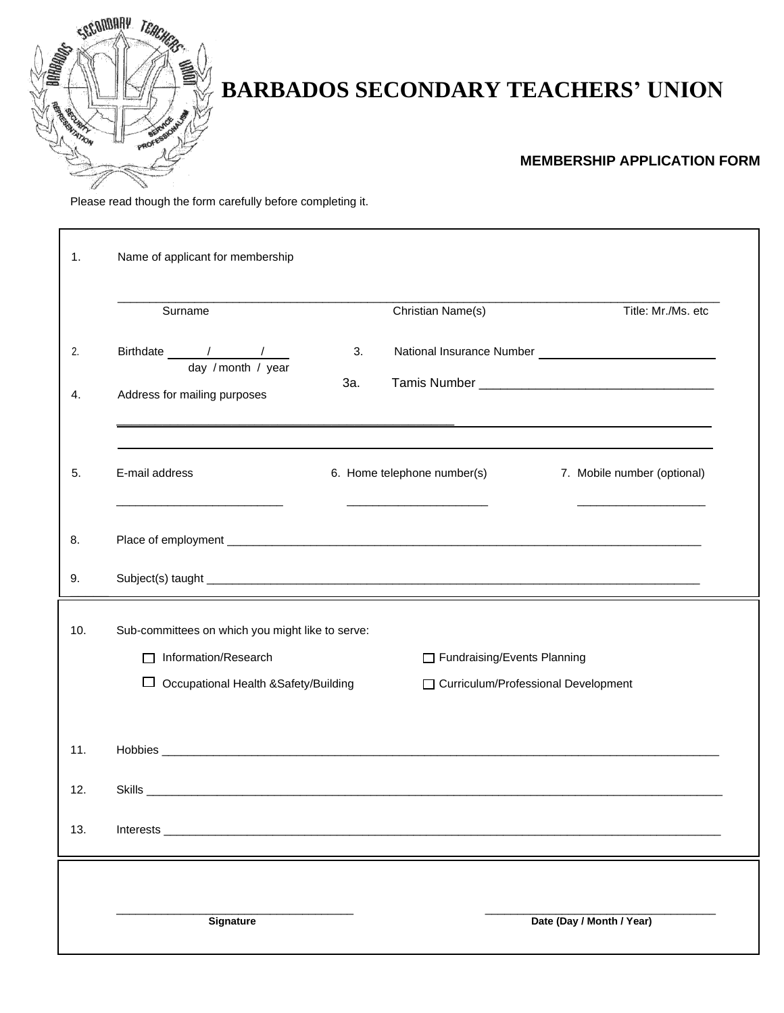

## **BARBADOS SECONDARY TEACHERS' UNION**

## **MEMBERSHIP APPLICATION FORM**

Please read though the form carefully before completing it.

| 1.       | Name of applicant for membership                                                                            |           |                                                                                 |                                                                                                               |  |  |
|----------|-------------------------------------------------------------------------------------------------------------|-----------|---------------------------------------------------------------------------------|---------------------------------------------------------------------------------------------------------------|--|--|
|          | Surname                                                                                                     |           | Christian Name(s)                                                               | Title: Mr./Ms. etc                                                                                            |  |  |
| 2.<br>4. | Birthdate / / /<br>day / month / year<br>Address for mailing purposes                                       | 3.<br>За. |                                                                                 | <u> 2002 - 2003 - 2004 - 2005 - 2006 - 2007 - 2008 - 2009 - 2009 - 2009 - 2009 - 2009 - 2009 - 2009 - 200</u> |  |  |
| 5.       | E-mail address<br>the control of the control of the control of the control of the control of the control of |           | 6. Home telephone number(s)<br>the control of the control of the control of the | 7. Mobile number (optional)                                                                                   |  |  |
| 8.       |                                                                                                             |           |                                                                                 |                                                                                                               |  |  |
| 9.       |                                                                                                             |           |                                                                                 |                                                                                                               |  |  |
| 10.      | Sub-committees on which you might like to serve:<br>□ Information/Research<br>Fundraising/Events Planning   |           |                                                                                 |                                                                                                               |  |  |
|          | □ Occupational Health &Safety/Building                                                                      |           |                                                                                 | □ Curriculum/Professional Development                                                                         |  |  |
| 11.      |                                                                                                             |           |                                                                                 |                                                                                                               |  |  |
| 12.      |                                                                                                             |           |                                                                                 |                                                                                                               |  |  |
| 13.      |                                                                                                             |           |                                                                                 |                                                                                                               |  |  |
|          | Signature                                                                                                   |           |                                                                                 | Date (Day / Month / Year)                                                                                     |  |  |